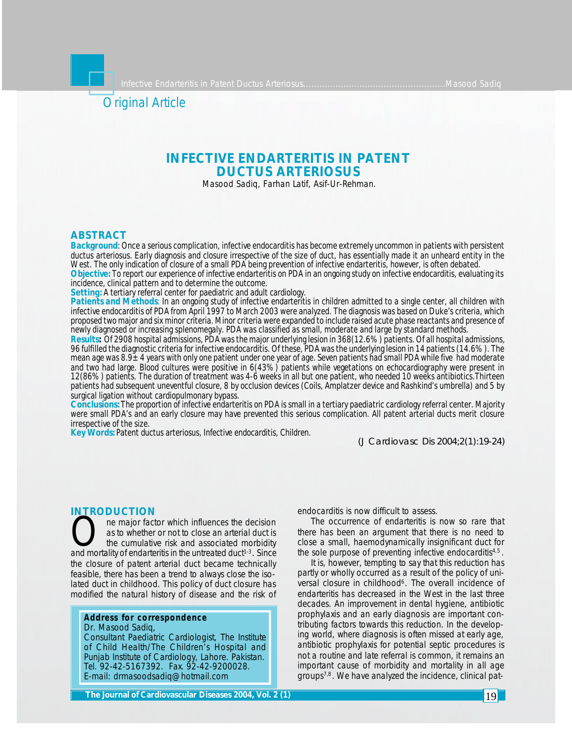

# **INFECTIVE ENDARTERITIS IN PATENT DUCTUS ARTERIOSUS**

Masood Sadiq, Farhan Latif, Asif-Ur-Rehman.

# **ABSTRACT**

*Background: Once a serious complication, infective endocarditis has become extremely uncommon in patients with persistent ductus arteriosus. Early diagnosis and closure irrespective of the size of duct, has essentially made it an unheard entity in the West. The only indication of closure of a small PDA being prevention of infective endarteritis, however, is often debated. Objective: To report our experience of infective endarteritis on PDA in an ongoing study on infective endocarditis, evaluating its incidence, clinical pattern and to determine the outcome.*

*Setting: A tertiary referral center for paediatric and adult cardiology.*

*Patients and Methods: In an ongoing study of infective endarteritis in children admitted to a single center, all children with infective endocarditis of PDA from April 1997 to March 2003 were analyzed. The diagnosis was based on Duke's criteria, which proposed two major and six minor criteria. Minor criteria were expanded to include raised acute phase reactants and presence of newly diagnosed or increasing splenomegaly. PDA was classified as small, moderate and large by standard methods.*

*Results: Of 2908 hospital admissions, PDA was the major underlying lesion in 368(12.6%) patients. Of all hospital admissions, 96 fulfilled the diagnostic criteria for infective endocarditis. Of these, PDA was the underlying lesion in 14 patients (14.6%). The mean age was 8.9±4 years with only one patient under one year of age. Seven patients had small PDA while five had moderate and two had large. Blood cultures were positive in 6(43%) patients while vegetations on echocardiography were present in 12(86%) patients. The duration of treatment was 4-6 weeks in all but one patient, who needed 10 weeks antibiotics.Thirteen patients had subsequent uneventful closure, 8 by occlusion devices (Coils, Amplatzer device and Rashkind's umbrella) and 5 by surgical ligation without cardiopulmonary bypass.*

*Conclusions: The proportion of infective endarteritis on PDA is small in a tertiary paediatric cardiology referral center. Majority were small PDA's and an early closure may have prevented this serious complication. All patent arterial ducts merit closure irrespective of the size.*

*Key Words: Patent ductus arteriosus, Infective endocarditis, Children.*

*(J Cardiovasc Dis 2004;2(1):19-24)*

#### **INTRODUCTION**

The major factor which influences the decision<br>as to whether or not to close an arterial duct is<br>the cumulative risk and associated morbidity<br>and mortality of endarteritis in the untreated duct<sup>1-3</sup>. Since ne major factor which influences the decision as to whether or not to close an arterial duct is the cumulative risk and associated morbidity the closure of patent arterial duct became technically feasible, there has been a trend to always close the isolated duct in childhood. This policy of duct closure has modified the natural history of disease and the risk of

### **Address for correspondence** Dr. Masood Sadiq,

Consultant Paediatric Cardiologist, The Institute of Child Health/The Children's Hospital and Punjab Institute of Cardiology, Lahore. Pakistan. Tel. 92-42-5167392. Fax. 92-42-9200028. E-mail: drmasoodsadiq@hotmail.com

endocarditis is now difficult to assess.

The occurrence of endarteritis is now so rare that there has been an argument that there is no need to close a small, haemodynamically insignificant duct for the sole purpose of preventing infective endocarditis<sup>4,5</sup>.

It is, however, tempting to say that this reduction has partly or wholly occurred as a result of the policy of universal closure in childhood<sup>6</sup>. The overall incidence of endarteritis has decreased in the West in the last three decades. An improvement in dental hygiene, antibiotic prophylaxis and an early diagnosis are important contributing factors towards this reduction. In the developing world, where diagnosis is often missed at early age, antibiotic prophylaxis for potential septic procedures is not a routine and late referral is common, it remains an important cause of morbidity and mortality in all age groups7,8. We have analyzed the incidence, clinical pat-

**The Journal of Cardiovascular Diseases 2004, Vol. 2 (1)**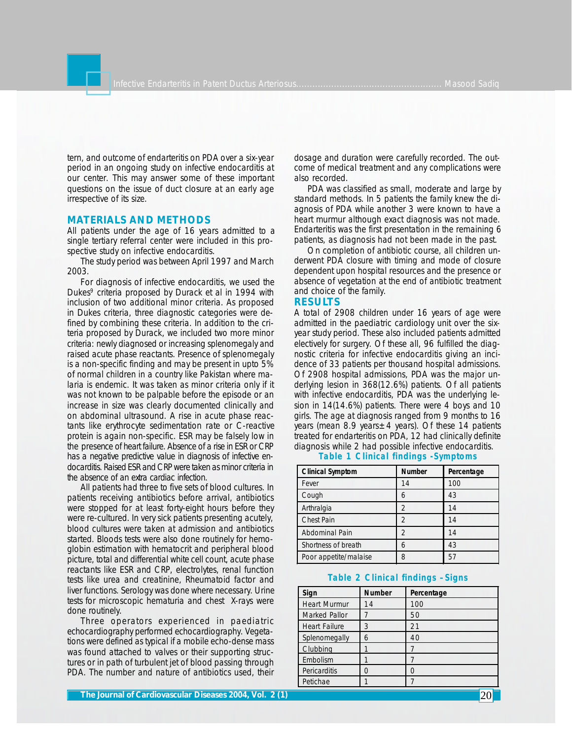tern, and outcome of endarteritis on PDA over a six-year period in an ongoing study on infective endocarditis at our center. This may answer some of these important questions on the issue of duct closure at an early age irrespective of its size.

# **MATERIALS AND METHODS**

All patients under the age of 16 years admitted to a single tertiary referral center were included in this prospective study on infective endocarditis.

The study period was between April 1997 and March 2003.

For diagnosis of infective endocarditis, we used the Dukes<sup>9</sup> criteria proposed by Durack et al in 1994 with inclusion of two additional minor criteria. As proposed in Dukes criteria, three diagnostic categories were defined by combining these criteria. In addition to the criteria proposed by Durack, we included two more minor criteria: newly diagnosed or increasing splenomegaly and raised acute phase reactants. Presence of splenomegaly is a non-specific finding and may be present in upto 5% of normal children in a country like Pakistan where malaria is endemic. It was taken as minor criteria only if it was not known to be palpable before the episode or an increase in size was clearly documented clinically and on abdominal ultrasound. A rise in acute phase reactants like erythrocyte sedimentation rate or C-reactive protein is again non-specific. ESR may be falsely low in the presence of heart failure. Absence of a rise in ESR or CRP has a negative predictive value in diagnosis of infective endocarditis. Raised ESR and CRP were taken as minor criteria in the absence of an extra cardiac infection.

All patients had three to five sets of blood cultures. In patients receiving antibiotics before arrival, antibiotics were stopped for at least forty-eight hours before they were re-cultured. In very sick patients presenting acutely, blood cultures were taken at admission and antibiotics started. Bloods tests were also done routinely for hemoglobin estimation with hematocrit and peripheral blood picture, total and differential white cell count, acute phase reactants like ESR and CRP, electrolytes, renal function tests like urea and creatinine, Rheumatoid factor and liver functions. Serology was done where necessary. Urine tests for microscopic hematuria and chest X-rays were done routinely.

Three operators experienced in paediatric echocardiography performed echocardiography. Vegetations were defined as typical if a mobile echo-dense mass was found attached to valves or their supporting structures or in path of turbulent jet of blood passing through PDA. The number and nature of antibiotics used, their dosage and duration were carefully recorded. The outcome of medical treatment and any complications were also recorded.

PDA was classified as small, moderate and large by standard methods. In 5 patients the family knew the diagnosis of PDA while another 3 were known to have a heart murmur although exact diagnosis was not made. Endarteritis was the first presentation in the remaining 6 patients, as diagnosis had not been made in the past.

On completion of antibiotic course, all children underwent PDA closure with timing and mode of closure dependent upon hospital resources and the presence or absence of vegetation at the end of antibiotic treatment and choice of the family.

### **RESULTS**

A total of 2908 children under 16 years of age were admitted in the paediatric cardiology unit over the sixyear study period. These also included patients admitted electively for surgery. Of these all, 96 fulfilled the diagnostic criteria for infective endocarditis giving an incidence of 33 patients per thousand hospital admissions. Of 2908 hospital admissions, PDA was the major underlying lesion in 368(12.6%) patients. Of all patients with infective endocarditis, PDA was the underlying lesion in 14(14.6%) patients. There were 4 boys and 10 girls. The age at diagnosis ranged from 9 months to 16 years (mean 8.9 years $\pm$ 4 years). Of these 14 patients treated for endarteritis on PDA, 12 had clinically definite diagnosis while 2 had possible infective endocarditis.

| <b>Clinical Symptom</b> | <b>Number</b>  | Percentage |
|-------------------------|----------------|------------|
| Fever                   | 14             | 100        |
| Cough                   | 6              | 43         |
| Arthralgia              | $\overline{2}$ | 14         |
| <b>Chest Pain</b>       | $\mathfrak{D}$ | 14         |
| Abdominal Pain          | っ              | 14         |
| Shortness of breath     |                | 43         |
| Poor appetite/malaise   | 8              | 5          |

# **Table 1 Clinical findings -Symptoms**

# **Table 2 Clinical findings –Signs**

| Sign                 | <b>Number</b> | Percentage |
|----------------------|---------------|------------|
| <b>Heart Murmur</b>  | 14            | 100        |
| Marked Pallor        |               | 50         |
| <b>Heart Failure</b> | 3             | 21         |
| Splenomegally        | 6             | 40         |
| Clubbing             |               |            |
| Embolism             |               |            |
| Pericarditis         |               | Ω          |
| Petichae             |               |            |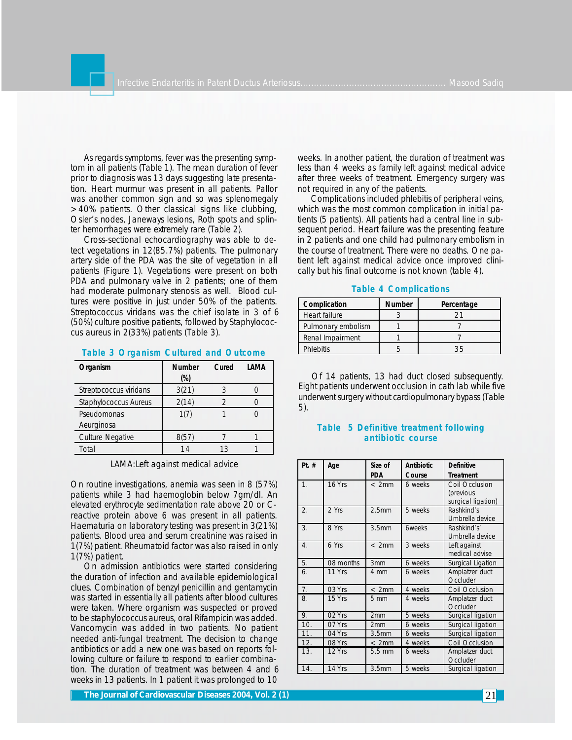As regards symptoms, fever was the presenting symptom in all patients (Table 1). The mean duration of fever prior to diagnosis was 13 days suggesting late presentation. Heart murmur was present in all patients. Pallor was another common sign and so was splenomegaly >40% patients. Other classical signs like clubbing, Osler's nodes, Janeways lesions, Roth spots and splinter hemorrhages were extremely rare (Table 2).

Cross-sectional echocardiography was able to detect vegetations in 12(85.7%) patients. The pulmonary artery side of the PDA was the site of vegetation in all patients (Figure 1). Vegetations were present on both PDA and pulmonary valve in 2 patients; one of them had moderate pulmonary stenosis as well. Blood cultures were positive in just under 50% of the patients. Streptococcus viridans was the chief isolate in 3 of 6 (50%) culture positive patients, followed by Staphylococcus aureus in 2(33%) patients (Table 3).

#### **Table 3 Organism Cultured and Outcome**

| Organism                | <b>Number</b> | Cured | I AMA |
|-------------------------|---------------|-------|-------|
|                         | $(\%)$        |       |       |
| Streptococcus viridans  | 3(21)         |       |       |
| Staphylococcus Aureus   | 2(14)         |       |       |
| Pseudomonas             | 1(7)          |       |       |
| Aeurginosa              |               |       |       |
| <b>Culture Negative</b> | 8(57)         |       |       |
| Total                   | 14            | 13    |       |

LAMA:Left against medical advice

On routine investigations, anemia was seen in 8 (57%) patients while 3 had haemoglobin below 7gm/dl. An elevated erythrocyte sedimentation rate above 20 or Creactive protein above 6 was present in all patients. Haematuria on laboratory testing was present in 3(21%) patients. Blood urea and serum creatinine was raised in 1(7%) patient. Rheumatoid factor was also raised in only 1(7%) patient.

On admission antibiotics were started considering the duration of infection and available epidemiological clues. Combination of benzyl penicillin and gentamycin was started in essentially all patients after blood cultures were taken. Where organism was suspected or proved to be staphylococcus aureus, oral Rifampicin was added. Vancomycin was added in two patients. No patient needed anti-fungal treatment. The decision to change antibiotics or add a new one was based on reports following culture or failure to respond to earlier combination. The duration of treatment was between 4 and 6 weeks in 13 patients. In 1 patient it was prolonged to 10

weeks. In another patient, the duration of treatment was less than 4 weeks as family left against medical advice after three weeks of treatment. Emergency surgery was not required in any of the patients.

Complications included phlebitis of peripheral veins, which was the most common complication in initial patients (5 patients). All patients had a central line in subsequent period. Heart failure was the presenting feature in 2 patients and one child had pulmonary embolism in the course of treatment. There were no deaths. One patient left against medical advice once improved clinically but his final outcome is not known (table 4).

| Complication       | <b>Number</b> | Percentage |
|--------------------|---------------|------------|
| Heart failure      |               | ′ ገ        |
| Pulmonary embolism |               |            |
| Renal Impairment   |               |            |
| <b>Phlebitis</b>   |               |            |

#### **Table 4 Complications**

Of 14 patients, 13 had duct closed subsequently. Eight patients underwent occlusion in cath lab while five underwent surgery without cardiopulmonary bypass (Table 5).

# **Table 5 Definitive treatment following antibiotic course**

| Pt. $#$          | Age       | Size of<br><b>PDA</b> | <b>Antibiotic</b><br>Course | <b>Definitive</b><br><b>Treatment</b>             |
|------------------|-----------|-----------------------|-----------------------------|---------------------------------------------------|
| 1.               | 16 Yrs    | < 2mm                 | 6 weeks                     | Coil Occlusion<br>(previous<br>surgical ligation) |
| $\overline{2}$ . | 2 Yrs     | 2.5 <sub>mm</sub>     | 5 weeks                     | Rashkind's<br>Umbrella device                     |
| 3.               | 8 Yrs     | 3.5 <sub>mm</sub>     | <b>6weeks</b>               | Rashkind's'<br>Umbrella device                    |
| $\overline{4}$ . | 6 Yrs     | < 2mm                 | 3 weeks                     | Left against<br>medical advise                    |
| 5.               | 08 months | 3 <sub>mm</sub>       | 6 weeks                     | Surgical Ligation                                 |
| 6.               | 11 Yrs    | 4 mm                  | 6 weeks                     | Amplatzer duct<br>Occluder                        |
| 7.               | 03 Yrs    | < 2mm                 | 4 weeks                     | Coil Occlusion                                    |
| 8.               | 15 Yrs    | $5 \, \text{mm}$      | 4 weeks                     | Amplatzer duct<br>Occluder                        |
| 9.               | $02$ Yrs  | 2mm                   | 5 weeks                     | Surgical ligation                                 |
| 10.              | 07 Yrs    | 2mm                   | 6 weeks                     | Surgical ligation                                 |
| 11.              | 04 Yrs    | 3.5 <sub>mm</sub>     | 6 weeks                     | Surgical ligation                                 |
| 12.              | 08 Yrs    | < 2mm                 | 4 weeks                     | Coil Occlusion                                    |
| 13.              | 12 Yrs    | $5.5 \text{ mm}$      | 6 weeks                     | Amplatzer duct<br>Occluder                        |
| 14.              | 14 Yrs    | 3.5 <sub>mm</sub>     | 5 weeks                     | Surgical ligation                                 |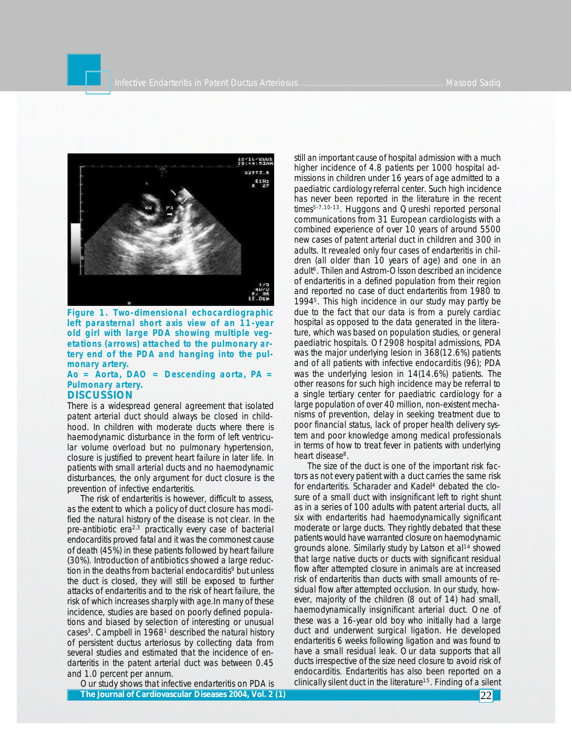

**Figure 1. Two-dimensional echocardiographic left parasternal short axis view of an 11-year old girl with large PDA showing multiple vegetations (arrows) attached to the pulmonary artery end of the PDA and hanging into the pulmonary artery.**

#### **Ao = Aorta, DAO = Descending aorta, PA = Pulmonary artery. DISCUSSION**

There is a widespread general agreement that isolated patent arterial duct should always be closed in childhood. In children with moderate ducts where there is haemodynamic disturbance in the form of left ventricular volume overload but no pulmonary hypertension, closure is justified to prevent heart failure in later life. In patients with small arterial ducts and no haemodynamic disturbances, the only argument for duct closure is the prevention of infective endarteritis.

The risk of endarteritis is however, difficult to assess, as the extent to which a policy of duct closure has modified the natural history of the disease is not clear. In the pre-antibiotic era<sup>2,3</sup> practically every case of bacterial endocarditis proved fatal and it was the commonest cause of death (45%) in these patients followed by heart failure (30%). Introduction of antibiotics showed a large reduction in the deaths from bacterial endocarditis<sup>9</sup> but unless the duct is closed, they will still be exposed to further attacks of endarteritis and to the risk of heart failure, the risk of which increases sharply with age.In many of these incidence, studies are based on poorly defined populations and biased by selection of interesting or unusual cases<sup>3</sup>. Campbell in 1968<sup>1</sup> described the natural history of persistent ductus arteriosus by collecting data from several studies and estimated that the incidence of endarteritis in the patent arterial duct was between 0.45 and 1.0 percent per annum.

Our study shows that infective endarteritis on PDA is **The Journal of Cardiovascular Diseases 2004, Vol. 2 (1) 2004 2004, 2 (1) 22 22** 

still an important cause of hospital admission with a much higher incidence of 4.8 patients per 1000 hospital admissions in children under 16 years of age admitted to a paediatric cardiology referral center. Such high incidence has never been reported in the literature in the recent times<sup>5-7,10-13</sup>. Huggons and Qureshi reported personal communications from 31 European cardiologists with a combined experience of over 10 years of around 5500 new cases of patent arterial duct in children and 300 in adults. It revealed only four cases of endarteritis in children (all older than 10 years of age) and one in an adult<sup>6</sup>. Thilen and Astrom-Olsson described an incidence of endarteritis in a defined population from their region and reported no case of duct endarteritis from 1980 to 1994<sup>5</sup> . This high incidence in our study may partly be due to the fact that our data is from a purely cardiac hospital as opposed to the data generated in the literature, which was based on population studies, or general paediatric hospitals. Of 2908 hospital admissions, PDA was the major underlying lesion in 368(12.6%) patients and of all patients with infective endocarditis (96); PDA was the underlying lesion in 14(14.6%) patients. The other reasons for such high incidence may be referral to a single tertiary center for paediatric cardiology for a large population of over 40 million, non-existent mechanisms of prevention, delay in seeking treatment due to poor financial status, lack of proper health delivery system and poor knowledge among medical professionals in terms of how to treat fever in patients with underlying heart disease<sup>8</sup>.

The size of the duct is one of the important risk factors as not every patient with a duct carries the same risk for endarteritis. Scharader and Kadel<sup>4</sup> debated the closure of a small duct with insignificant left to right shunt as in a series of 100 adults with patent arterial ducts, all six with endarteritis had haemodynamically significant moderate or large ducts. They rightly debated that these patients would have warranted closure on haemodynamic grounds alone. Similarly study by Latson et al<sup>14</sup> showed that large native ducts or ducts with significant residual flow after attempted closure in animals are at increased risk of endarteritis than ducts with small amounts of residual flow after attempted occlusion. In our study, however, majority of the children (8 out of 14) had small, haemodynamically insignificant arterial duct. One of these was a 16-year old boy who initially had a large duct and underwent surgical ligation. He developed endarteritis 6 weeks following ligation and was found to have a small residual leak. Our data supports that all ducts irrespective of the size need closure to avoid risk of endocarditis. Endarteritis has also been reported on a clinically silent duct in the literature<sup>15</sup>. Finding of a silent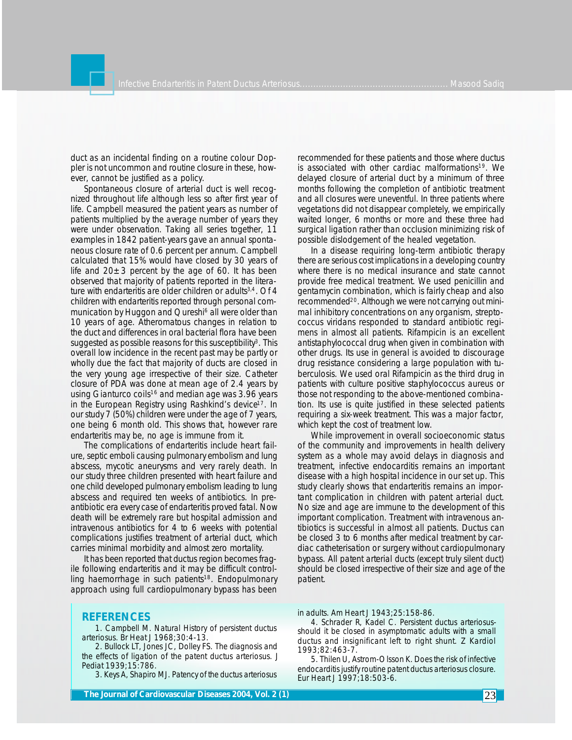duct as an incidental finding on a routine colour Doppler is not uncommon and routine closure in these, however, cannot be justified as a policy.

Spontaneous closure of arterial duct is well recognized throughout life although less so after first year of life. Campbell measured the patient years as number of patients multiplied by the average number of years they were under observation. Taking all series together, 11 examples in 1842 patient-years gave an annual spontaneous closure rate of 0.6 percent per annum. Campbell calculated that 15% would have closed by 30 years of life and  $20\pm3$  percent by the age of 60. It has been observed that majority of patients reported in the literature with endarteritis are older children or adults<sup>3,4</sup>. Of 4 children with endarteritis reported through personal communication by Huggon and Qureshi<sup>6</sup> all were older than 10 years of age. Atheromatous changes in relation to the duct and differences in oral bacterial flora have been suggested as possible reasons for this susceptibility<sup>3</sup>. This overall low incidence in the recent past may be partly or wholly due the fact that majority of ducts are closed in the very young age irrespective of their size. Catheter closure of PDA was done at mean age of 2.4 years by using Gianturco coils<sup>16</sup> and median age was  $3.96$  years in the European Registry using Rashkind's device<sup>17</sup>. In our study 7 (50%) children were under the age of 7 years, one being 6 month old. This shows that, however rare endarteritis may be, no age is immune from it.

The complications of endarteritis include heart failure, septic emboli causing pulmonary embolism and lung abscess, mycotic aneurysms and very rarely death. In our study three children presented with heart failure and one child developed pulmonary embolism leading to lung abscess and required ten weeks of antibiotics. In preantibiotic era every case of endarteritis proved fatal. Now death will be extremely rare but hospital admission and intravenous antibiotics for 4 to 6 weeks with potential complications justifies treatment of arterial duct, which carries minimal morbidity and almost zero mortality.

It has been reported that ductus region becomes fragile following endarteritis and it may be difficult controlling haemorrhage in such patients<sup>18</sup>. Endopulmonary approach using full cardiopulmonary bypass has been

# recommended for these patients and those where ductus is associated with other cardiac malformations<sup>19</sup>. We delayed closure of arterial duct by a minimum of three months following the completion of antibiotic treatment and all closures were uneventful. In three patients where vegetations did not disappear completely, we empirically waited longer, 6 months or more and these three had surgical ligation rather than occlusion minimizing risk of possible dislodgement of the healed vegetation.

In a disease requiring long-term antibiotic therapy there are serious cost implications in a developing country where there is no medical insurance and state cannot provide free medical treatment. We used penicillin and gentamycin combination, which is fairly cheap and also recommended<sup>20</sup>. Although we were not carrying out minimal inhibitory concentrations on any organism, streptococcus viridans responded to standard antibiotic regimens in almost all patients. Rifampicin is an excellent antistaphylococcal drug when given in combination with other drugs. Its use in general is avoided to discourage drug resistance considering a large population with tuberculosis. We used oral Rifampicin as the third drug in patients with culture positive staphylococcus aureus or those not responding to the above-mentioned combination. Its use is quite justified in these selected patients requiring a six-week treatment. This was a major factor, which kept the cost of treatment low.

While improvement in overall socioeconomic status of the community and improvements in health delivery system as a whole may avoid delays in diagnosis and treatment, infective endocarditis remains an important disease with a high hospital incidence in our set up. This study clearly shows that endarteritis remains an important complication in children with patent arterial duct. No size and age are immune to the development of this important complication. Treatment with intravenous antibiotics is successful in almost all patients. Ductus can be closed 3 to 6 months after medical treatment by cardiac catheterisation or surgery without cardiopulmonary bypass. All patent arterial ducts (except truly silent duct) should be closed irrespective of their size and age of the patient.

# **REFERENCES**

1. Campbell M. Natural History of persistent ductus arteriosus. Br Heat J 1968;30:4-13.

2. Bullock LT, Jones JC, Dolley FS. The diagnosis and the effects of ligation of the patent ductus arteriosus. J Pediat 1939;15:786.

3. Keys A, Shapiro MJ. Patency of the ductus arteriosus

**The Journal of Cardiovascular Diseases 2004, Vol. 2 (1) 23 2004, 23 23** 

in adults. Am Heart J 1943;25:158-86.

4. Schrader R, Kadel C. Persistent ductus arteriosusshould it be closed in asymptomatic adults with a small ductus and insignificant left to right shunt. Z Kardiol 1993;82:463-7.

5. Thilen U, Astrom-Olsson K. Does the risk of infective endocarditis justify routine patent ductus arteriosus closure. Eur Heart J 1997;18:503-6.